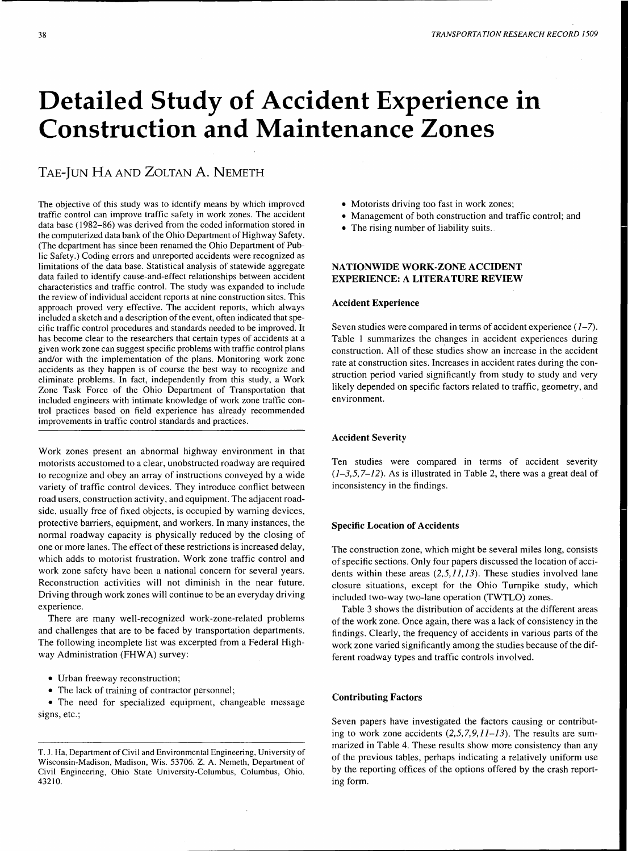# **Detailed Study of Accident Experience in Construction and Maintenance Zones**

## TAE-JUN HA AND ZOLTAN A. NEMETH

The objective of this study was to identify means by which improved traffic control can improve traffic safety in work zones. The accident data base ( 1982-86) was derived from the coded information stored in the computerized data bank of the Ohio Department of Highway Safety. (The department has since been renamed the Ohio Department of Public Safety.) Coding errors and unreported accidents were recognized as limitations of the data base. Statistical analysis of statewide aggregate data failed to identify cause-and-effect relationships between accident characteristics and traffic control. The study was expanded to include the review of individual accident reports at nine construction sites. This approach proved very effective. The accident reports, which always included a sketch and a description of the event, often indicated that specific traffic control procedures and standards needed to be improved. It has become clear to the researchers that certain types of accidents at a given work zone can suggest specific problems with traffic control plans and/or with the implementation of the plans. Monitoring work zone accidents as they happen is of course the best way to recognize and eliminate problems. In fact, independently from this study, a Work Zone Task Force of the Ohio Department of Transportation that included engineers with intimate knowledge of work zone traffic control practices based on field experience has already recommended improvements in traffic control standards and practices.

Work zones present an abnormal highway environment in that motorists accustomed to a clear, unobstructed roadway are required to recognize and obey an array of instructions conveyed by a wide variety of traffic control devices. They introduce conflict between road users, construction activity, and equipment. The adjacent roadside, usually free of fixed objects, is occupied by warning devices, protective barriers, equipment, and workers. In many instances, the normal roadway capacity is physically reduced by the closing of one or more lanes. The effect of these restrictions is increased delay, which adds to motorist frustration. Work zone traffic control and work zone safety have been a national concern for several years. Reconstruction activities will not diminish in the near future. Driving through work zones will continue to be an everyday driving experience.

There are many well-recognized work-zone-related problems and challenges that are to be faced by transportation departments. The following incomplete list was excerpted from a Federal Highway Administration (FHWA) survey:

- Urban freeway reconstruction;
- The lack of training of contractor personnel;

• The need for specialized equipment, changeable message signs, etc.;

- Motorists driving too fast in work zones;
- Management of both construction and traffic control; and
- The rising number of liability suits.

## **NATIONWIDE WORK-ZONE ACCIDENT EXPERIENCE: A LITERATURE REVIEW**

## **Accident Experience**

Seven studies were compared in terms of accident experience  $(1-7)$ . Table 1 summarizes the changes in accident experiences during construction. All of these studies show an increase in the accident rate at construction sites. Increases in accident rates during the construction period varied significantly from study to study and very likely depended on specific factors related to traffic, geometry, and environment.

## **Accident Severity**

Ten studies were compared in terms of accident severity  $(1-3,5,7-12)$ . As is illustrated in Table 2, there was a great deal of inconsistency in the findings.

## **Specific Location of Accidents**

The construction zone, which might be several miles long, consists of specific sections. Only four papers discussed the location of accidents within these areas  $(2,5,11,13)$ . These studies involved lane closure situations, except for the Ohio Turnpike study, which included two-way two-lane operation (TWTLO) zones.

Table 3 shows the distribution of accidents at the different areas of the work zone. Once again, there was a lack of consistency in the findings. Clearly, the frequency of accidents in various parts of the work zone varied significantly among the studies because of the different roadway types and traffic controls involved.

#### **Contributing Factors**

Seven papers have investigated the factors causing or contributing to work zone accidents  $(2,5,7,9,11-13)$ . The results are summarized in Table 4. These results show more consistency than any of the previous tables, perhaps indicating a relatively uniform use by the reporting offices of the options offered by the crash reporting form.

T. J. Ha, Department of Civil and Environmental Engineering, University of Wisconsin-Madison, Madison, Wis. 53706. Z. A. Nemeth, Department of Civil Engineering, Ohio State University-Columbus, Columbus, Ohio. 43210.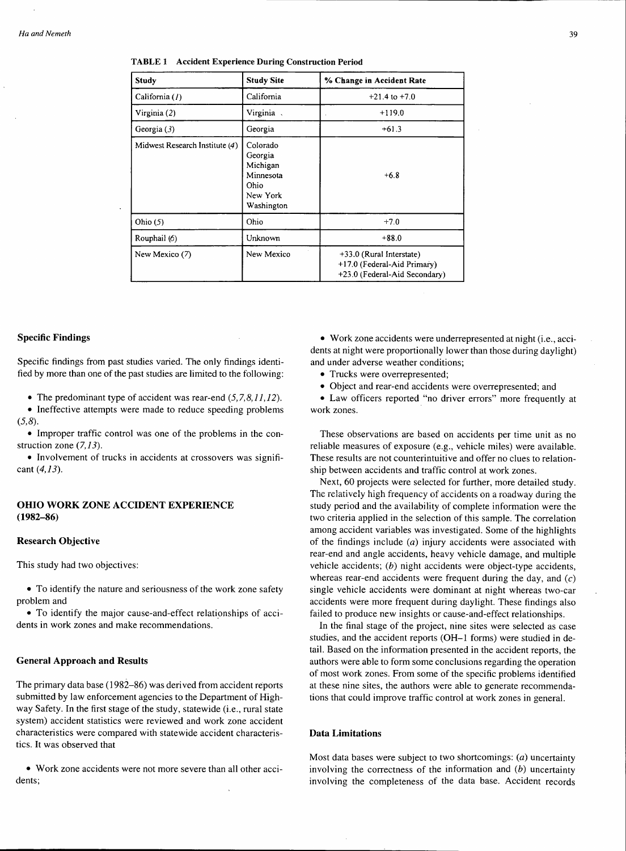| Study                          | <b>Study Site</b>                                                              | % Change in Accident Rate                                                                |
|--------------------------------|--------------------------------------------------------------------------------|------------------------------------------------------------------------------------------|
| California (1)                 | California                                                                     | $+21.4$ to $+7.0$                                                                        |
| Virginia (2)                   | Virginia.                                                                      | $+119.0$                                                                                 |
| Georgia $(3)$                  | Georgia                                                                        | $+61.3$                                                                                  |
| Midwest Research Institute (4) | Colorado<br>Georgia<br>Michigan<br>Minnesota<br>Ohio<br>New York<br>Washington | $+6.8$                                                                                   |
| Ohio $(5)$                     | Ohio                                                                           | $+7.0$                                                                                   |
| Rouphail (6)                   | Unknown                                                                        | $+88.0$                                                                                  |
| New Mexico (7)                 | New Mexico                                                                     | +33.0 (Rural Interstate)<br>+17.0 (Federal-Aid Primary)<br>+23.0 (Federal-Aid Secondary) |

#### **TABLE 1 Accident Experience During Construction Period**

#### **Specific Findings**

Specific findings from past studies varied. The only findings identified by more than one of the past studies are limited to the following:

• The predominant type of accident was rear-end  $(5, 7, 8, 11, 12)$ .

• Ineffective attempts were made to reduce speeding problems  $(5,8)$ .

• Improper traffic control was one of the problems in the construction zone  $(7, 13)$ .

• Involvement of trucks in accidents at crossovers was significant  $(4,13)$ .

## **OHIO WORK ZONE ACCIDENT EXPERIENCE (1982-86)**

#### **Research Objective**

This study had two objectives:

• To identify the nature and seriousness of the work zone safety problem and

• To identify the major cause-and-effect relationships of accidents in work zones and make recommendations.

#### **General Approach and Results**

The primary data base (1982-86) was derived from accident reports submitted by law enforcement agencies to the Department of Highway Safety. In the first stage of the study, statewide (i.e., rural state system) accident statistics were reviewed and work zone accident characteristics were compared with statewide accident characteristics. It was observed that

• Work zone accidents were not more severe than all other accidents;

• Work zone accidents were underrepresented at night (i.e., accidents at night were proportionally lower than those during daylight) and under adverse weather conditions;

• Trucks were overrepresented;

• Object and rear-end accidents were overrepresented; and

• Law officers reported "no driver errors" more frequently at work zones.

These observations are based on accidents per time unit as no reliable measures of exposure (e.g., vehicle miles) were available. These results are not counterintuitive and offer no clues to relationship between accidents and traffic control at work zones.

Next, 60 projects were selected for further, more detailed study. The relatively high frequency of accidents on a roadway during the study period and the availability of complete information were the two criteria applied in the selection of this sample. The correlation among accident variables was investigated. Some of the highlights of the findings include (a) injury accidents were associated with rear-end and angle accidents, heavy vehicle damage, and multiple vehicle accidents; (b) night accidents were object-type accidents, whereas rear-end accidents were frequent during the day, and  $(c)$ single vehicle accidents were dominant at night whereas two-car accidents were more frequent during daylight. These findings also failed to produce new insights or cause-and-effect relationships.

In the final stage of the project, nine sites were selected as case studies, and the accident reports (OH-1 forms) were studied in detail. Based on the information presented in the accident reports, the authors were able to form some conclusions regarding the operation of most work zones. From some of the specific problems identified at these nine sites, the authors were able to generate recommendations that could improve traffic control at work zones in general.

## **Data Limitations**

Most data bases were subject to two shortcomings: (a) uncertainty involving the correctness of the information and  $(b)$  uncertainty involving the completeness of the data base. Accident records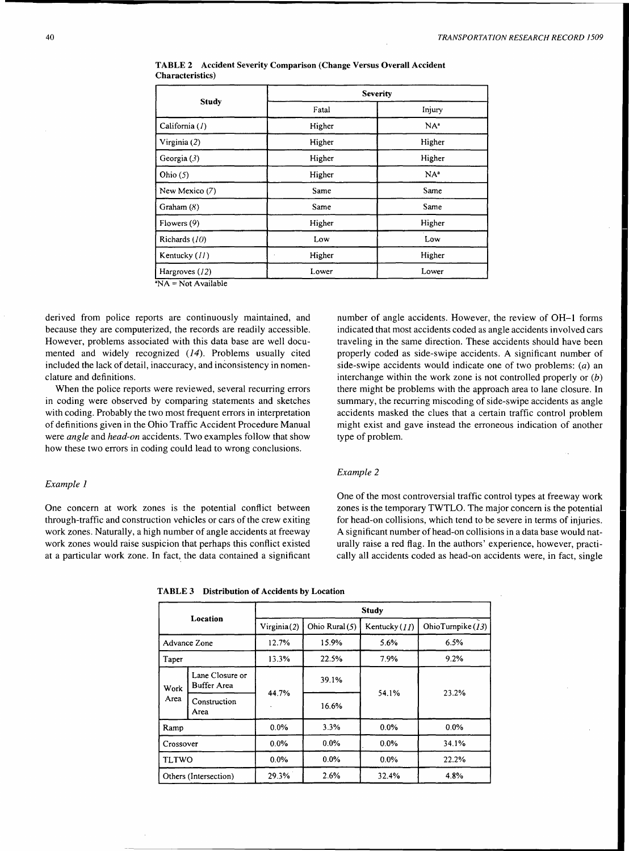|                                |        | <b>Severity</b> |  |  |  |
|--------------------------------|--------|-----------------|--|--|--|
| Study                          | Fatal  | Injury          |  |  |  |
| California (1)                 | Higher | $NA^a$          |  |  |  |
| Virginia (2)                   | Higher | Higher          |  |  |  |
| Georgia $(3)$                  | Higher | Higher          |  |  |  |
| Ohio $(5)$                     | Higher | NA <sup>a</sup> |  |  |  |
| New Mexico (7)                 | Same   | Same            |  |  |  |
| Graham $(8)$                   | Same   | Same            |  |  |  |
| Flowers $(9)$                  | Higher | Higher          |  |  |  |
| Richards $(10)$                | Low    | Low             |  |  |  |
| Kentucky (11)                  | Higher | Higher          |  |  |  |
| Hargroves (12)<br>$\mathbf{a}$ | Lower  | Lower           |  |  |  |

TABLE 2 Accident Severity Comparison (Change Versus Overall Accident Characteristics)

•NA= Not Available

derived from police reports are continuously maintained, and because they are computerized, the records are readily accessible. However, problems associated with this data base are well documented and widely recognized (14). Problems usually cited included the lack of detail, inaccuracy, and inconsistency in nomenclature and definitions.

When the police reports were reviewed, several recurring errors in coding were observed by comparing statements and sketches with coding. Probably the two most frequent errors in interpretation of definitions given in the Ohio Traffic Accident Procedure Manual were *angle* and *head-on* accidents. Two examples follow that show how these two errors in coding could lead to wrong conclusions.

## *Example 1*

One concern at work zones is the potential conflict between through-traffic and construction vehicles or cars of the crew exiting work zones. Naturally, a high number of angle accidents at freeway work zones would raise suspicion that perhaps this conflict existed at a particular work zone. In fact, the data contained a significant

number of angle accidents. However, the review of OH-1 forms indicated that most accidents coded as angle accidents involved cars traveling in the same direction. These accidents should have been properly coded as side-swipe accidents. A significant number of side-swipe accidents would indicate one of two problems: (a) an interchange within the work zone is not controlled properly or  $(b)$ there might be problems with the approach area to lane closure. In summary, the recurring miscoding of side-swipe accidents as angle accidents masked the clues that a certain traffic control problem might exist and gave instead the erroneous indication of another type of problem.

#### *Example* 2

One of the most controversial traffic control types at freeway work zones is the temporary TWTLO. The major concern is the potential for head-on collisions, which tend to be severe in terms of injuries. A significant number of head-on collisions in a data base would naturally raise a red flag. In the authors' experience, however, practically all accidents coded as head-on accidents were, in fact, single

|  |  |  | <b>TABLE 3</b> Distribution of Accidents by Location |
|--|--|--|------------------------------------------------------|
|--|--|--|------------------------------------------------------|

|              |                                | <b>Study</b> |                |              |                     |  |  |  |  |  |  |
|--------------|--------------------------------|--------------|----------------|--------------|---------------------|--|--|--|--|--|--|
|              | Location                       | Virginia(2)  | Ohio Rural (5) | Kentucky(11) | OhioTurnpike $(13)$ |  |  |  |  |  |  |
| Advance Zone |                                | 12.7%        | 15.9%          | 5.6%         | 6.5%                |  |  |  |  |  |  |
| Taper        |                                | 13.3%        | 22.5%          | 7.9%         | 9.2%                |  |  |  |  |  |  |
| Work         | Lane Closure or<br>Buffer Area |              | 39.1%          |              | 23.2%               |  |  |  |  |  |  |
| Area         | Construction<br>Area           | 44.7%        | 16.6%          | 54.1%        |                     |  |  |  |  |  |  |
| Ramp         |                                | 0.0%         | 3.3%           | 0.0%         | 0.0%                |  |  |  |  |  |  |
| Crossover    |                                | $0.0\%$      | $0.0\%$        | $0.0\%$      | 34.1%               |  |  |  |  |  |  |
| <b>TLTWO</b> |                                | $0.0\%$      | 0.0%           | $0.0\%$      | 22.2%               |  |  |  |  |  |  |
|              | Others (Intersection)          | 29.3%        | 2.6%           | 32.4%        | 4.8%                |  |  |  |  |  |  |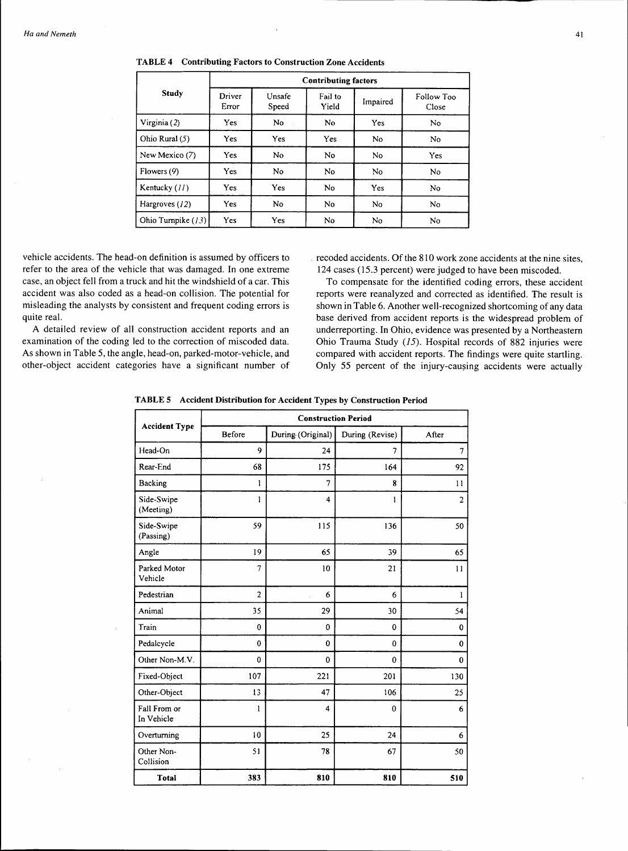|                    | <b>Contributing factors</b> |                 |                      |          |                     |  |  |  |  |  |  |  |
|--------------------|-----------------------------|-----------------|----------------------|----------|---------------------|--|--|--|--|--|--|--|
| Study              | Driver<br>Error             | Unsafe<br>Speed | Fail to<br>Yield     | Impaired | Follow Too<br>Close |  |  |  |  |  |  |  |
| Virginia (2)       | Yes                         | No              | No                   | Yes      | No.                 |  |  |  |  |  |  |  |
| Ohio Rural (5)     | <b>Yes</b>                  | Yes             | Yes                  | No       | No                  |  |  |  |  |  |  |  |
| New Mexico (7)     | Yes                         | No.             | No.                  | No       | Yes                 |  |  |  |  |  |  |  |
| Flowers (9)        | Yes                         | No              | N <sub>0</sub><br>No |          | No                  |  |  |  |  |  |  |  |
| Kentucky (11)      | Yes                         | Yes             | <b>No</b>            | Yes      | No                  |  |  |  |  |  |  |  |
| Hargroves (12)     | Yes                         | No.             | No.                  | No       | No                  |  |  |  |  |  |  |  |
| Ohio Turnpike (13) | Yes                         | Yes             | N <sub>0</sub>       | No       | No                  |  |  |  |  |  |  |  |

TABLE 4 Contributing Factors to Construction Zone Accidents

vehicle accidents. The head-on definition is assumed by officers to refer to the area of the vehicle that was damaged. In one extreme case, an object fell from a truck and hit the windshield of a car. This accident was also coded as a head-on collision. The potential for misleading the analysts by consistent and frequent coding errors is quite real.

A detailed review of all construction accident reports and an examination of the coding led to the correction of miscoded data. As shown in Table 5, the angle, head-on, parked-motor-vehicle, and other-object accident categories have a significant number of . recoded accidents. Of the 810 work zone accidents at the nine sites, 124 cases (15.3 percent) were judged to have been miscoded.

To compensate for the identified coding errors, these accident reports were reanalyzed and corrected as identified. The result is shown in Table 6. Another well-recognized shortcoming of any data base derived from accident reports is the widespread problem of underreporting. In Ohio, evidence was presented by a Northeastern Ohio Trauma Study  $(15)$ . Hospital records of 882 injuries were compared with accident reports. The findings were quite startling. Only 55 percent of the injury-causing accidents were actually

TABLE 5 Accident Distribution for Accident Types by Construction Period

|                            | <b>Construction Period</b> |                         |                 |                |  |  |  |  |  |  |  |  |
|----------------------------|----------------------------|-------------------------|-----------------|----------------|--|--|--|--|--|--|--|--|
| <b>Accident Type</b>       | <b>Before</b>              | During (Original)       | During (Revise) | After          |  |  |  |  |  |  |  |  |
| Head-On                    | 9                          | 24                      | 7               | 7              |  |  |  |  |  |  |  |  |
| Rear-End                   | 68                         | 175                     | 164             | 92             |  |  |  |  |  |  |  |  |
| Backing                    | 1                          | 7                       | 8               | 11             |  |  |  |  |  |  |  |  |
| Side-Swipe<br>(Meeting)    | 1                          | 4                       | 1               | $\overline{2}$ |  |  |  |  |  |  |  |  |
| Side-Swipe<br>(Passing)    | 59                         | 115                     | 136             | 50             |  |  |  |  |  |  |  |  |
| Angle                      | 19                         | 65                      | 39              | 65             |  |  |  |  |  |  |  |  |
| Parked Motor<br>Vehicle    | 7                          | 10                      | 21              | $\mathbf{1}$   |  |  |  |  |  |  |  |  |
| Pedestrian                 | $\overline{2}$             | 6                       | 6               | 1              |  |  |  |  |  |  |  |  |
| Animal                     | 35                         | 29                      | 30              | 54             |  |  |  |  |  |  |  |  |
| Train                      | $\bf{0}$                   | $\mathbf{0}$            | $\mathbf 0$     | $\bf{0}$       |  |  |  |  |  |  |  |  |
| Pedalcycle                 | $\bf{0}$                   | $\bf{0}$                | $\mathbf{0}$    | $\mathbf 0$    |  |  |  |  |  |  |  |  |
| Other Non-M.V.             | 0                          | $\mathbf{0}$            | 0               | $\bf{0}$       |  |  |  |  |  |  |  |  |
| Fixed-Object               | 107                        | 221                     | 201             | 130            |  |  |  |  |  |  |  |  |
| Other-Object               | 13                         | 47                      | 106             | 25             |  |  |  |  |  |  |  |  |
| Fall From or<br>In Vehicle | 1                          | $\overline{\mathbf{4}}$ | $\mathbf 0$     | 6              |  |  |  |  |  |  |  |  |
| Overturning                | 10                         | 25                      | 24              | 6              |  |  |  |  |  |  |  |  |
| Other Non-<br>Collision    | 51                         | 78                      | 67              | 50             |  |  |  |  |  |  |  |  |
| Total                      | 383                        | 810                     | 810             | 510            |  |  |  |  |  |  |  |  |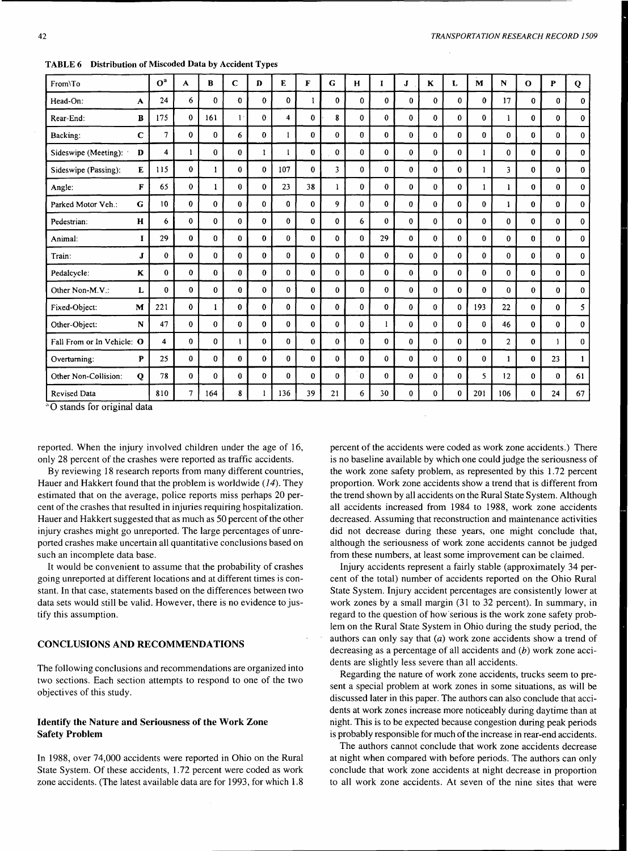| From\To                    |   | O <sup>a</sup> | A            | $\bf{B}$     | $\mathbf C$ | $\mathbf{D}$ | E            | F           | G            | H            | п            | J            | K            | L            | M            | N            | $\mathbf{o}$ | P            | Q            |
|----------------------------|---|----------------|--------------|--------------|-------------|--------------|--------------|-------------|--------------|--------------|--------------|--------------|--------------|--------------|--------------|--------------|--------------|--------------|--------------|
| Head-On:                   | A | 24             | 6            | $\mathbf{0}$ | $\Omega$    | $\Omega$     | $\mathbf{0}$ | 1           | $\mathbf{0}$ | $\Omega$     | $\mathbf{0}$ | $\Omega$     | $\Omega$     | $\Omega$     | $\bf{0}$     | 17           | $\Omega$     | $\bf{0}$     | $\bf{0}$     |
| Rear-End:                  | в | 175            | $\bf{0}$     | 161          | $1$ .       | $\mathbf{0}$ | 4            | $\bf{0}$    | 8            | $\mathbf{0}$ | $\mathbf 0$  | $\mathbf{0}$ | $\bf{0}$     | $\mathbf{0}$ | $\bf{0}$     | 1            | 0            | $\bf{0}$     | $\mathbf 0$  |
| Backing:                   | C | $\overline{7}$ | $\bf{0}$     | $\mathbf{0}$ | 6           | $\mathbf{0}$ |              | $\bf{0}$    | $\bf{0}$     | $\bf{0}$     | $\bf{0}$     | $\bf{0}$     | $\bf{0}$     | $\mathbf{0}$ | $\bf{0}$     | $\bf{0}$     | 0            | $\mathbf{0}$ | $\bf{0}$     |
| Sideswipe (Meeting):       | D | $\overline{4}$ | 1            | $\bf{0}$     | 0           |              | ı            | $\bf{0}$    | $\bf{0}$     | $\bf{0}$     | $\bf{0}$     | $\bf{0}$     | $\bf{0}$     | $\bf{0}$     | 1            | $\bf{0}$     | 0            | $\bf{0}$     | $\mathbf{0}$ |
| Sideswipe (Passing):       | E | 115            | $\bf{0}$     |              | 0           | $\Omega$     | 107          | $\bf{0}$    | 3            | $\bf{0}$     | $\bf{0}$     | $\bf{0}$     | $\bf{0}$     | $\bf{0}$     | ı.           | 3            | 0            | 0            | $\bf{0}$     |
| Angle:                     | F | 65             | $\mathbf{0}$ | 1            | $\bf{0}$    | 0            | 23           | 38          | 1            | 0            | $\bf{0}$     | $\bf{0}$     | $\bf{0}$     | 0            | 1            | 1            | 0            | $\bf{0}$     | $\bf{0}$     |
| Parked Motor Veh.:         | G | 10             | 0            | $\mathbf{0}$ | $\bf{0}$    | $\Omega$     | $\bf{0}$     | $\bf{0}$    | 9            | 0            | $\Omega$     | $\bf{0}$     | 0            | $\Omega$     | $\mathbf{0}$ | 1            | 0            | $\mathbf{0}$ | 0            |
| Pedestrian:                | H | 6              | $\bf{0}$     | $\bf{0}$     | $\bf{0}$    | 0            | $\bf{0}$     | 0           | $\mathbf{0}$ | 6            | $\bf{0}$     | $\bf{0}$     | $\bf{0}$     | $\mathbf 0$  | $\mathbf{0}$ | $\mathbf 0$  | 0            | $\mathbf 0$  | $\mathbf 0$  |
| Animal:                    |   | 29             | $\bf{0}$     | $\bf{0}$     | $\bf{0}$    | 0            | $\bf{0}$     | $\bf{0}$    | 0            | $\bf{0}$     | 29           | 0            | $\mathbf 0$  | $\mathbf{0}$ | $\bf{0}$     | $\mathbf{0}$ | $\mathbf{0}$ | $\mathbf 0$  | $\bf{0}$     |
| Train:                     | J | $\bf{0}$       | $\bf{0}$     | $\mathbf 0$  | 0           | $\bf{0}$     | $\bf{0}$     | $\bf{0}$    | $\mathbf{0}$ | 0            | $\mathbf{0}$ | 0            | $\mathbf{0}$ | $\mathbf{0}$ | 0            | $\mathbf 0$  | 0            | $\mathbf{0}$ | $\mathbf 0$  |
| Pedalcycle:                | ĸ | $\bf{0}$       | $\bf{0}$     | $\bf{0}$     | 0           | $\mathbf{0}$ | $\bf{0}$     | $\bf{0}$    | $\Omega$     | $\bf{0}$     | $\bf{0}$     | $\bf{0}$     | $\bf{0}$     | $\mathbf{0}$ | $\bf{0}$     | $\mathbf 0$  | 0            | $\bf{0}$     | $\mathbf{0}$ |
| Other Non-M.V.:            | L | $\bf{0}$       | 0            | $\bf{0}$     | $\bf{0}$    | $\mathbf{0}$ | 0            | $\bf{0}$    | 0            | $\bf{0}$     | $\mathbf{0}$ | $\bf{0}$     | $\bf{0}$     | $\bf{0}$     | $\bf{0}$     | $\bf{0}$     | $\bf{0}$     | $\mathbf 0$  | $\mathbf 0$  |
| Fixed-Object:              | M | 221            | $\mathbf 0$  | 1            | $\bf{0}$    | $\mathbf{0}$ | $\bf{0}$     | $\mathbf 0$ | $\mathbf{0}$ | $\bf{0}$     | $\mathbf 0$  | 0            | $\bf{0}$     | $\bf{0}$     | 193          | 22           | $\bf{0}$     | $\mathbf{0}$ | 5            |
| Other-Object:              | N | 47             | $\bf{0}$     | $\bf{0}$     | 0           | 0            | $\bf{0}$     | $\bf{0}$    | $\bf{0}$     | $\bf{0}$     | 1            | 0            | $\bf{0}$     | $\bf{0}$     | $\bf{0}$     | 46           | $\bf{0}$     | 0            | 0            |
| Fall From or In Vehicle: O |   | 4              | 0            | 0            |             | 0            | $\bf{0}$     | $\bf{0}$    | $\mathbf{0}$ | $\bf{0}$     | $\mathbf 0$  | 0            | $\mathbf{0}$ | $\mathbf{0}$ | $\mathbf 0$  | $\mathbf{2}$ | $\mathbf{0}$ | 1            | 0            |
| Overturning:               | P | 25             | 0            | 0            | $\bf{0}$    | $\Omega$     | $\bf{0}$     | $\bf{0}$    | $\bf{0}$     | $\bf{0}$     | $\mathbf 0$  | $\bf{0}$     | $\bf{0}$     | $\bf{0}$     | $\mathbf 0$  | 1            | 0            | 23           | 1            |
| Other Non-Collision:       | Q | 78             | $\bf{0}$     | $\Omega$     | 0           | 0            | $\bf{0}$     | $\bf{0}$    | 0            | $\Omega$     | $\theta$     | 0            | $\bf{0}$     | $\Omega$     | 5            | 12           | $\mathbf{0}$ | $\mathbf{0}$ | 61           |
| <b>Revised Data</b>        |   | 810            | 7            | 164          | 8           |              | 136          | 39          | 21           | 6            | 30           | 0            | $\bf{0}$     | $\Omega$     | 201          | 106          | 0            | 24           | 67           |

TABLE 6 Distribution of Miscoded Data by Accident Types

<sup>a</sup>O stands for original data

reported. When the injury involved children under the age of 16, only 28 percent of the crashes were reported as traffic accidents.

By reviewing 18 research reports from many different countries, Hauer and Hakkert found that the problem is worldwide  $(14)$ . They estimated that on the average, police reports miss perhaps 20 percent of the crashes that resulted in injuries requiring hospitalization. Hauer and Hakkert suggested that as much as 50 percent of the other injury crashes might go unreported. The large percentages of unreported crashes make uncertain all quantitative conclusions based on such an incomplete data base.

It would be convenient to assume that the probability of crashes going unreported at different locations and at different times is constant. In that case, statements based on the differences between two data sets would still be valid. However, there is no evidence to justify this assumption.

## CONCLUSIONS AND RECOMMENDATIONS

The following conclusions and recommendations are organized into two sections. Each section attempts to respond to one of the two objectives of this study.

## Identify the Nature and Seriousness of the Work Zone Safety Problem

In 1988, over 74,000 accidents were reported in Ohio on the Rural State System. Of these accidents, 1.72 percent were coded as work zone accidents. (The latest available data are for 1993, for which 1.8

percent of the accidents were coded as work zone accidents.) There is no baseline available by which one could judge the seriousness of the work zone safety problem, as represented by this 1.72 percent proportion. Work zone accidents show a trend that is different from the trend shown by all accidents on the Rural State System. Although all accidents increased from 1984 to 1988, work zone accidents decreased. Assuming that reconstruction and maintenance activities did not decrease during these years, one might conclude that, although the seriousness of work zone accidents cannot be judged from these numbers, at least some improvement can be claimed.

Injury accidents represent a fairly stable (approximately 34 percent of the total) number of accidents reported on the Ohio Rural State System. Injury accident percentages are consistently lower at work zones by a small margin (31 to 32 percent). In summary, in regard to the question of how·serious is the work zone safety problem on the Rural State System in Ohio during the study period, the authors can only say that  $(a)$  work zone accidents show a trend of decreasing as a percentage of all accidents and  $(b)$  work zone accidents are slightly less severe than all accidents.

Regarding the nature of work zone accidents, trucks seem to present a special problem at work zones in some situations, as will be discussed later in this paper. The authors can also conclude that accidents at work zones increase more noticeably during daytime than at night. This is to be expected because congestion during peak periods is probably responsible for much of the increase in rear-end accidents.

The authors cannot conclude that work zone accidents decrease at night when compared with before periods. The authors can only conclude that work zone accidents at night decrease in proportion to all work zone accidents. At seven of the nine sites that were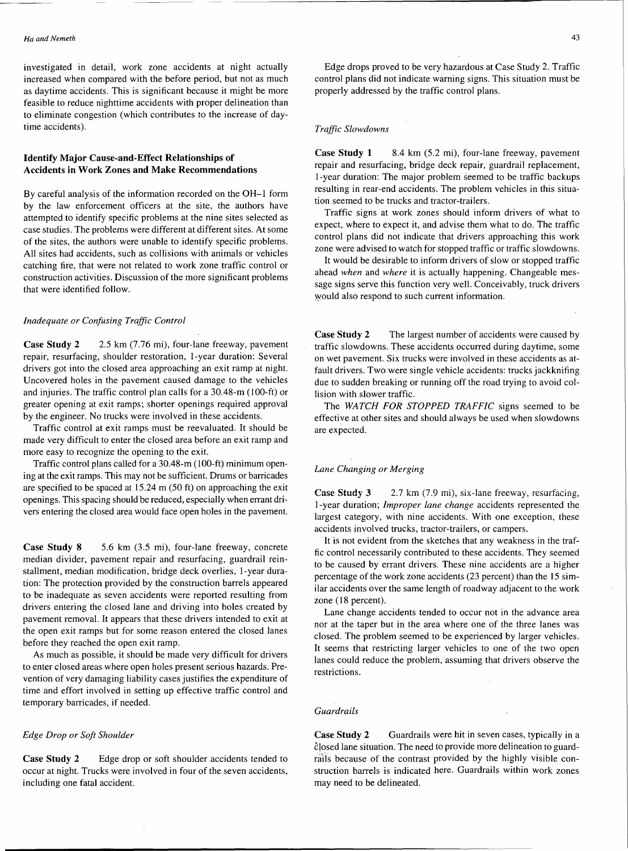investigated in detail, work zone accidents at night actually increased when compared with the before period, but not as much as daytime accidents. This is significant because it might be more feasible to reduce nighttime accidents with proper delineation than to eliminate congestion (which contributes to the increase of daytime accidents).

## Identify Major Cause-and-Effect Relationships of Accidents in Work Zones and Make Recommendations

By careful analysis of the information recorded on the OH-1 form by the law enforcement officers at the site, the authors have attempted to identify specific problems at the nine sites selected as case studies. The problems were different at different sites. At some of the sites, the authors were unable to identify specific problems. All sites had accidents, such as collisions with animals or vehicles catching fire, that were not related to work zone traffic control or construction activities. Discussion of the more significant problems that were identified follow.

#### *Inadequate or Confusing Traffic Control*

Case Study 2 2.5 km (7.76 mi), four-lane freeway, pavement repair, resurfacing, shoulder restoration, I-year duration: Several drivers got into the closed area approaching an exit ramp at night. Uncovered holes in the pavement caused damage to the vehicles and injuries. The traffic control plan calls for a 30.48-m (100-ft) or greater opening at exit ramps; shorter openings required approval by the engineer. No trucks were involved in these accidents.

Traffic control at exit ramps must be reevaluated. It should be made very difficult to enter the closed area before an exit ramp and more easy to recognize the opening to the exit.

Traffic control plans called for a 30.48-m (100-ft) minimum opening at the exit ramps. This may not be sufficient. Drums or barricades are specified to be spaced at 15.24 m (50 ft) on approaching the exit openings. This spacing should be reduced, especially when errant drivers entering the closed area would face open holes in the pavement.

Case Study 8 5.6 km (3.5 mi), four-lane freeway, concrete median divider, pavement repair and resurfacing, guardrail reinstallment, median modification, bridge deck overlies, 1-year duration: The protection provided by the construction barrels appeared to be inadequate as seven accidents were reported resulting from drivers entering the closed lane and driving into holes created by pavement removal. It appears that these drivers intended to exit at the open exit ramps but for some reason entered the closed lanes before they reached the open exit ramp.

As much as possible, it should be made very difficult for drivers to enter closed areas where open holes present serious hazards. Prevention of very damaging liability cases justifies the expenditure of time and effort involved in setting up effective traffic control and temporary barricades, if needed.

#### *Edge Drop or Soft Shoulder*

Case Study 2 Edge drop or soft shoulder accidents tended to occur at night. Trucks were involved in four of the seven accidents, including one fatal accident.

Edge drops proved to be very hazardous at Case Study 2. Traffic control plans did not indicate warning signs. This situation must be properly addressed by the traffic control plans.

#### *Traffic Slowdowns*

Case Study 1 8.4 km (5.2 mi), four-lane freeway, pavement repair and resurfacing, bridge deck repair, guardrail replacement, I-year duration: The major problem seemed to be traffic backups resulting in rear-end accidents. The problem vehicles in this situation seemed to be trucks and tractor-trailers.

Traffic signs at work zones should inform drivers of what to expect, where to expect it, and advise them what to do. The traffic control plans did not indicate that drivers approaching this work zone were advised to watch for stopped traffic or traffic slowdowns.

It would be desirable to inform drivers of slow or stopped traffic ahead *when* and *where* it is actually happening. Changeable message signs serve this function very well. Conceivably, truck drivers would also respond to such current information.

Case Study 2 The largest number of accidents were caused by traffic slowdowns. These accidents occurred during daytime, some on wet pavement. Six trucks were involved in these accidents as atfault drivers. Two were single vehicle accidents: trucks jackknifing due to sudden breaking or running off the road trying to avoid collision with slower traffic.

The *WATCH FOR STOPPED TRAFFIC* signs seemed to be effective at other sites and should always be used when slowdowns are expected.

### *Lane Changing or Merging*

**Case Study 3** 2.7 km (7.9 mi), six-lane freeway, resurfacing, I-year duration; *Improper lane change* accidents represented the largest category, with nine accidents. With one exception, these accidents involved trucks, tractor-trailers, or campers.

It is not evident from the sketches that any weakness in the traffic control necessarily contributed to these accidents. They seemed to be caused by errant drivers. These nine accidents are a higher percentage of the work zone accidents (23 percent) than the 15 similar accidents over the same length of roadway adjacent to the work zone (18 percent).

Lane change accidents tended to occur not in the advance area nor at the taper but in the area where one of the three lanes was closed. The problem seemed to be experienced by larger vehicles. It seems that restricting larger vehicles to one of the two open lanes could reduce the problem, assuming that drivers observe the restrictions.

#### *Guardrails*

Case Study 2 Guardrails were hit in seven cases, typically in a closed lane situation. The need to provide more delineation to guardrails because of the contrast provided by the highly visible construction barrels is indicated here. Guardrails within work zones may need to be delineated.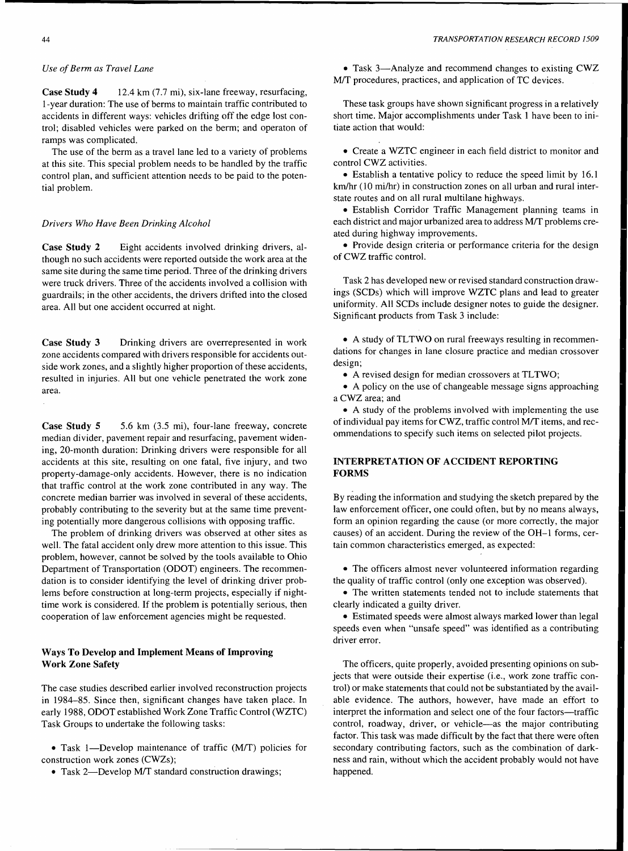### *Use of Berm as Travel Lane*

Case Study 4 12.4 km (7.7 mi), six-lane freeway, resurfacing, 1-year duration: The use of berms to maintain traffic contributed to accidents in different ways: vehicles drifting off the edge lost control; disabled vehicles were parked on the berm; and operaton of ramps was complicated.

The use of the berm as a travel lane led to a variety of problems at this site. This special problem needs to be handled by the traffic control plan, and sufficient attention needs to be paid to the potential problem.

## *Drivers Who Have Been Drinking Alcohol*

Case Study 2 Eight accidents involved drinking drivers, although no such accidents were reported outside the work area at the same site during the same time period. Three of the drinking drivers were truck drivers. Three of the accidents involved a collision with guardrails; in the other accidents, the drivers drifted into the closed area. All but one accident occurred at night.

Case Study 3 Drinking drivers are overrepresented in work zone accidents compared with drivers responsible for accidents outside work zones, and a slightly higher proportion of these accidents, resulted in injuries. All but one vehicle penetrated the work zone area.

Case Study 5 5.6 km (3.5 mi), four-lane freeway, concrete median divider, pavement repair and resurfacing, pavement widening, 20-month duration: Drinking drivers were responsible for all accidents at this site, resulting on one fatal, five injury, and two property-damage-only accidents. However, there is no indication that traffic control at the work zone contributed in any way. The concrete median barrier was involved in several of these accidents, probably contributing to the severity but at the same time preventing potentially more dangerous collisions with opposing traffic.

The problem of drinking drivers was observed at other sites as well. The fatal accident only drew more attention to this issue. This problem, however, cannot be solved by the tools available to Ohio Department of Transportation (ODOT) engineers. The recommendation is to consider identifying the level of drinking driver problems before construction at long-term projects, especially if nighttime work is considered. If the problem is potentially serious, then cooperation of law enforcement agencies might be requested.

## Ways To Develop and Implement Means of Improving Work Zone Safety

The case studies described earlier involved reconstruction projects in 1984-85. Since then, significant changes have taken place. In early 1988, ODOT established Work Zone Traffic Control (WZTC) Task Groups to undertake the following tasks:

• Task 1-Develop maintenance of traffic (M/T) policies for construction work zones (CWZs);

• Task 2-Develop M/T standard construction drawings;

• Task 3—Analyze and recommend changes to existing CWZ M/T procedures, practices, and application of TC devices.

These task groups have shown significant progress in a relatively short time. Major accomplishments under Task 1 have been to initiate action that would:

• Create a WZTC engineer in each field district to monitor and control CWZ activities.

• Establish a tentative policy to reduce the speed limit by 16.1 km/hr (10 mi/hr) in construction zones on all urban and rural interstate routes and on all rural multilane highways.

• Establish Corridor Traffic Management planning teams in each district and major urbanized area to address M/T problems created during highway improvements.

• Provide design criteria or performance criteria for the design of CWZ traffic control.

Task 2 has developed new or revised standard construction drawings (SCDs) which will improve WZTC plans and lead to greater uniformity. All SCDs include designer notes to guide the designer. Significant products from Task 3 include:

• A study of TLTWO on rural freeways resulting in recommendations for changes in lane closure practice and median crossover design;

• A revised design for median crossovers at TLTWO;

• A policy on the use of changeable message signs approaching a CWZ area; and

• A study of the problems involved with implementing the use of individual pay items for CWZ, traffic control M/T items, and recommendations to specify such items on selected pilot projects.

## INTERPRETATION OF ACCIDENT REPORTING FORMS

By reading the information and studying the sketch prepared by the law enforcement officer, one could often, but by no means always, form an opinion regarding the cause (or more correctly, the major causes) of an accident. During the review of the OH-1 forms, certain common characteristics emerged, as expected:

• The officers almost never volunteered information regarding the quality of traffic control (only one exception was observed).

• The written statements tended not to include statements that clearly indicated a guilty driver.

• Estimated speeds were almost always marked lower than legal speeds even when "unsafe speed" was identified as a contributing driver error.

The officers, quite properly, avoided presenting opinions on subjects that were outside their expertise (i.e., work zone traffic control) or make statements that could not be substantiated by the available evidence. The authors, however, have made an effort to interpret the information and select one of the four factors-traffic control, roadway, driver, or vehicle-as the major contributing factor. This task was made difficult by the fact that there were often secondary contributing factors, such as the combination of darkness and rain, without which the accident probably would not have happened.